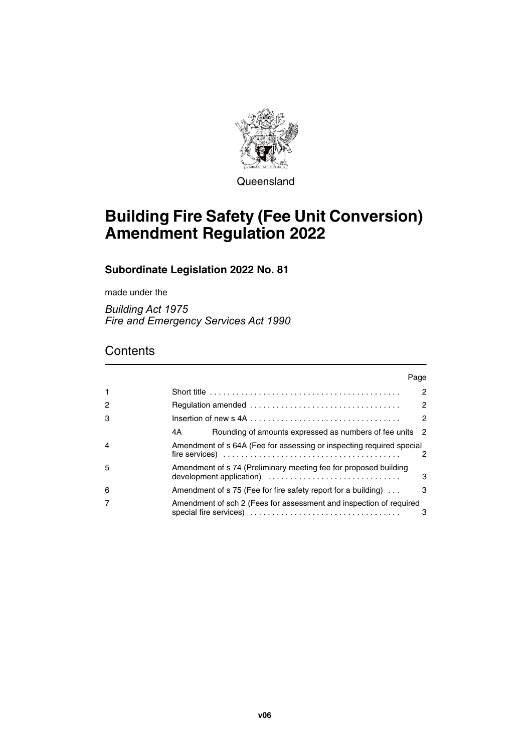

**Queensland** 

# **Building Fire Safety (Fee Unit Conversion) Amendment Regulation 2022**

### **Subordinate Legislation 2022 No. 81**

made under the

*Building Act 1975 Fire and Emergency Services Act 1990*

## **Contents**

|                | Page                                                                                                     |                |
|----------------|----------------------------------------------------------------------------------------------------------|----------------|
| 1              | Short title $\ldots \ldots \ldots \ldots \ldots \ldots \ldots \ldots \ldots \ldots \ldots \ldots \ldots$ | $\overline{2}$ |
| 2              |                                                                                                          | 2              |
| 3              |                                                                                                          | 2              |
|                | Rounding of amounts expressed as numbers of fee units 2<br>4A                                            |                |
| $\overline{4}$ | Amendment of s 64A (Fee for assessing or inspecting required special                                     | 2              |
| 5              | Amendment of s 74 (Preliminary meeting fee for proposed building                                         | 3              |
| 6              | Amendment of s 75 (Fee for fire safety report for a building)                                            | 3              |
|                | Amendment of sch 2 (Fees for assessment and inspection of required                                       | 3              |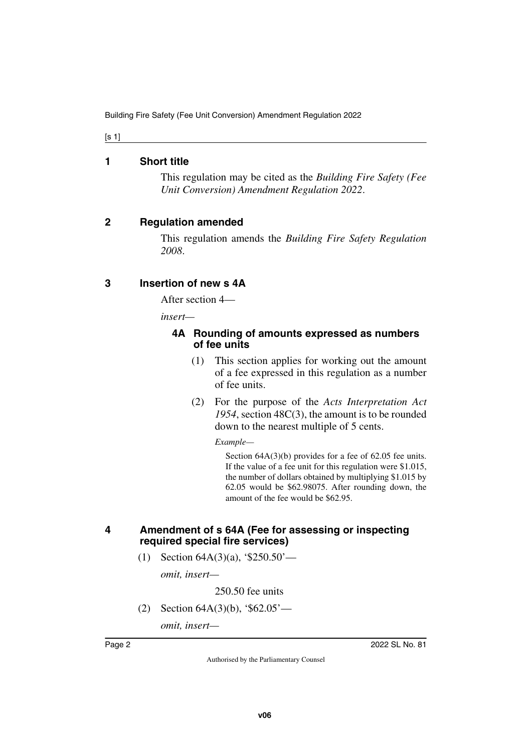<span id="page-1-0"></span>[s 1]

#### **1 Short title**

<span id="page-1-1"></span>This regulation may be cited as the *Building Fire Safety (Fee Unit Conversion) Amendment Regulation 2022*.

#### <span id="page-1-2"></span>**2 Regulation amended**

<span id="page-1-3"></span>This regulation amends the *Building Fire Safety Regulation 2008*.

#### <span id="page-1-4"></span>**3 Insertion of new s 4A**

<span id="page-1-5"></span>After section 4—

*insert—*

#### <span id="page-1-7"></span><span id="page-1-6"></span>**4A Rounding of amounts expressed as numbers of fee units**

- (1) This section applies for working out the amount of a fee expressed in this regulation as a number of fee units.
- (2) For the purpose of the *Acts Interpretation Act 1954*, section 48C(3), the amount is to be rounded down to the nearest multiple of 5 cents.

*Example—*

Section  $64A(3)(b)$  provides for a fee of 62.05 fee units. If the value of a fee unit for this regulation were \$1.015, the number of dollars obtained by multiplying \$1.015 by 62.05 would be \$62.98075. After rounding down, the amount of the fee would be \$62.95.

#### <span id="page-1-9"></span><span id="page-1-8"></span>**4 Amendment of s 64A (Fee for assessing or inspecting required special fire services)**

(1) Section 64A(3)(a), '\$250.50'—

*omit, insert—*

250.50 fee units

(2) Section 64A(3)(b), '\$62.05'—

*omit, insert—*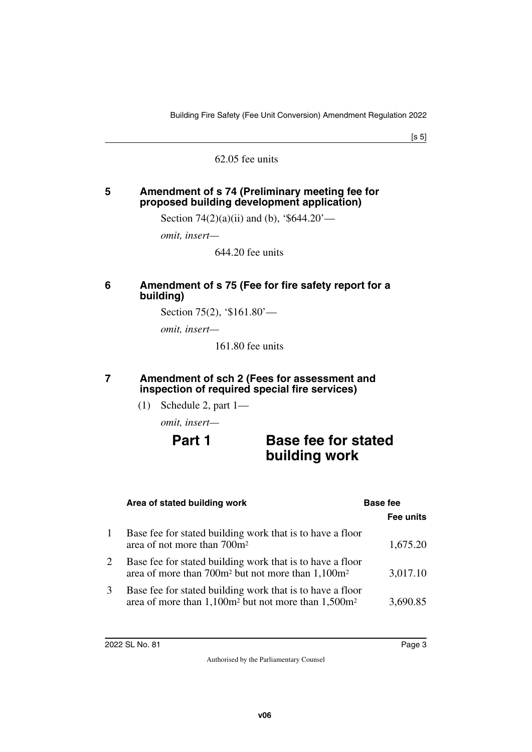[s 5]

62.05 fee units

#### <span id="page-2-1"></span><span id="page-2-0"></span>**5 Amendment of s 74 (Preliminary meeting fee for proposed building development application)**

Section 74 $(2)(a)(ii)$  and (b), '\$644.20'—

*omit, insert—*

644.20 fee units

#### <span id="page-2-3"></span><span id="page-2-2"></span>**6 Amendment of s 75 (Fee for fire safety report for a building)**

Section 75(2), '\$161.80'—

*omit, insert—*

161.80 fee units

#### <span id="page-2-5"></span><span id="page-2-4"></span>**7 Amendment of sch 2 (Fees for assessment and inspection of required special fire services)**

(1) Schedule 2, part 1—

*omit, insert—*

## **Part 1** Base fee for stated **building work**

|   | Area of stated building work                                                                                                             | <b>Base fee</b> |  |
|---|------------------------------------------------------------------------------------------------------------------------------------------|-----------------|--|
|   |                                                                                                                                          | Fee units       |  |
|   | Base fee for stated building work that is to have a floor<br>area of not more than 700m <sup>2</sup>                                     | 1,675.20        |  |
|   | Base fee for stated building work that is to have a floor<br>area of more than 700m <sup>2</sup> but not more than 1,100m <sup>2</sup>   | 3,017.10        |  |
| 3 | Base fee for stated building work that is to have a floor<br>area of more than 1,100m <sup>2</sup> but not more than 1,500m <sup>2</sup> | 3,690.85        |  |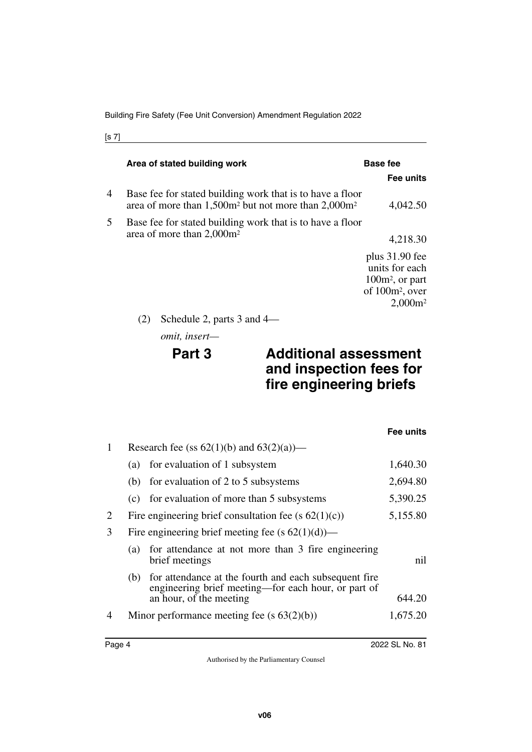|   | Area of stated building work                                                                                           | <b>Base fee</b>                                                                              |  |
|---|------------------------------------------------------------------------------------------------------------------------|----------------------------------------------------------------------------------------------|--|
|   |                                                                                                                        | Fee units                                                                                    |  |
| 4 | Base fee for stated building work that is to have a floor<br>area of more than $1,500m^2$ but not more than $2,000m^2$ | 4,042.50                                                                                     |  |
| 5 | Base fee for stated building work that is to have a floor                                                              |                                                                                              |  |
|   | area of more than 2,000m <sup>2</sup>                                                                                  | 4,218.30                                                                                     |  |
|   |                                                                                                                        | plus $31.90$ fee<br>units for each<br>$100m^2$ , or part<br>of $100m^2$ , over<br>$2,000m^2$ |  |
|   | Schedule 2, parts 3 and 4—                                                                                             |                                                                                              |  |

*omit, insert—*

## **Part 3 Additional assessment and inspection fees for fire engineering briefs**

|              |                                               |                                                                                                                                         | Fee units |
|--------------|-----------------------------------------------|-----------------------------------------------------------------------------------------------------------------------------------------|-----------|
| $\mathbf{1}$ | Research fee (ss $62(1)(b)$ and $63(2)(a)$ )— |                                                                                                                                         |           |
|              | (a)                                           | for evaluation of 1 subsystem                                                                                                           | 1,640.30  |
|              |                                               | (b) for evaluation of 2 to 5 subsystems                                                                                                 | 2,694.80  |
|              |                                               | (c) for evaluation of more than 5 subsystems                                                                                            | 5,390.25  |
| 2            |                                               | Fire engineering brief consultation fee (s $62(1)(c)$ )                                                                                 | 5,155.80  |
| 3            |                                               | Fire engineering brief meeting fee (s $62(1)(d)$ )—                                                                                     |           |
|              | (a)                                           | for attendance at not more than 3 fire engineering<br>brief meetings                                                                    | nil       |
|              | (b)                                           | for attendance at the fourth and each subsequent fire<br>engineering brief meeting—for each hour, or part of<br>an hour, of the meeting | 644.20    |
| 4            |                                               | Minor performance meeting fee $(s 63(2)(b))$                                                                                            | 1,675.20  |
|              |                                               |                                                                                                                                         |           |

[s 7]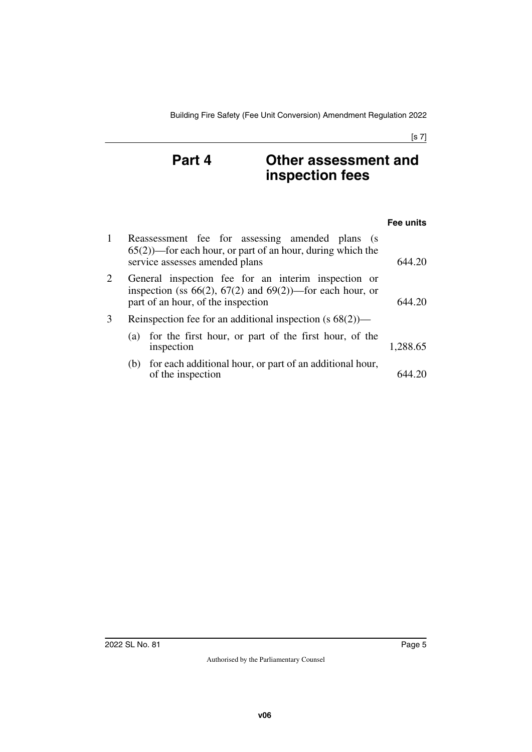## **Part 4 Other assessment and inspection fees**

|   |                                                                                                                                                               | Fee units |
|---|---------------------------------------------------------------------------------------------------------------------------------------------------------------|-----------|
| 1 | Reassessment fee for assessing amended plans (s<br>$(65(2))$ —for each hour, or part of an hour, during which the<br>service assesses amended plans           | 644.20    |
| 2 | General inspection fee for an interim inspection or<br>inspection (ss $66(2)$ , $67(2)$ and $69(2)$ )—for each hour, or<br>part of an hour, of the inspection | 644 20    |
| 3 | Reinspection fee for an additional inspection $(s 68(2))$ —                                                                                                   |           |
|   | (a) for the first hour, or part of the first hour, of the<br>inspection                                                                                       | 1,288.65  |
|   | (b) for each additional hour, or part of an additional hour,<br>of the inspection                                                                             |           |